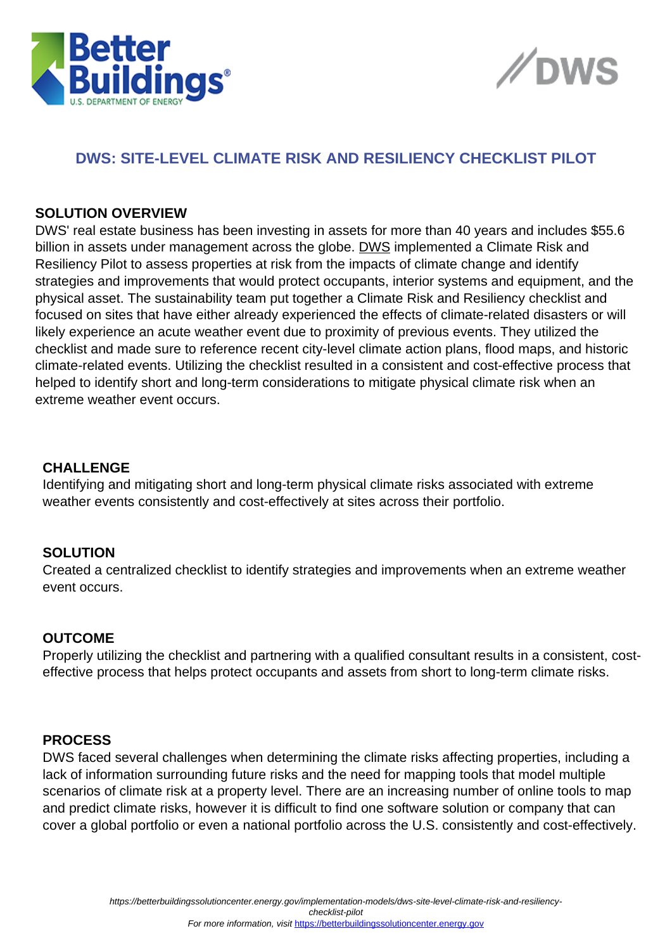



# **DWS: SITE-LEVEL CLIMATE RISK AND RESILIENCY CHECKLIST PILOT**

#### **SOLUTION OVERVIEW**

DWS' real estate business has been investing in assets for more than 40 years and includes \$55.6 billion in assets under management across the globe. [DWS](https://www.dws.com/en-us/sp/audience-selection/?returnUrl=%2Fen-us%2F) implemented a Climate Risk and Resiliency Pilot to assess properties at risk from the impacts of climate change and identify strategies and improvements that would protect occupants, interior systems and equipment, and the physical asset. The sustainability team put together a Climate Risk and Resiliency checklist and focused on sites that have either already experienced the effects of climate-related disasters or will likely experience an acute weather event due to proximity of previous events. They utilized the checklist and made sure to reference recent city-level climate action plans, flood maps, and historic climate-related events. Utilizing the checklist resulted in a consistent and cost-effective process that helped to identify short and long-term considerations to mitigate physical climate risk when an extreme weather event occurs.

## **CHALLENGE**

Identifying and mitigating short and long-term physical climate risks associated with extreme weather events consistently and cost-effectively at sites across their portfolio.

## **SOLUTION**

Created a centralized checklist to identify strategies and improvements when an extreme weather event occurs.

#### **OUTCOME**

Properly utilizing the checklist and partnering with a qualified consultant results in a consistent, costeffective process that helps protect occupants and assets from short to long-term climate risks.

## **PROCESS**

DWS faced several challenges when determining the climate risks affecting properties, including a lack of information surrounding future risks and the need for mapping tools that model multiple scenarios of climate risk at a property level. There are an increasing number of online tools to map and predict climate risks, however it is difficult to find one software solution or company that can cover a global portfolio or even a national portfolio across the U.S. consistently and cost-effectively.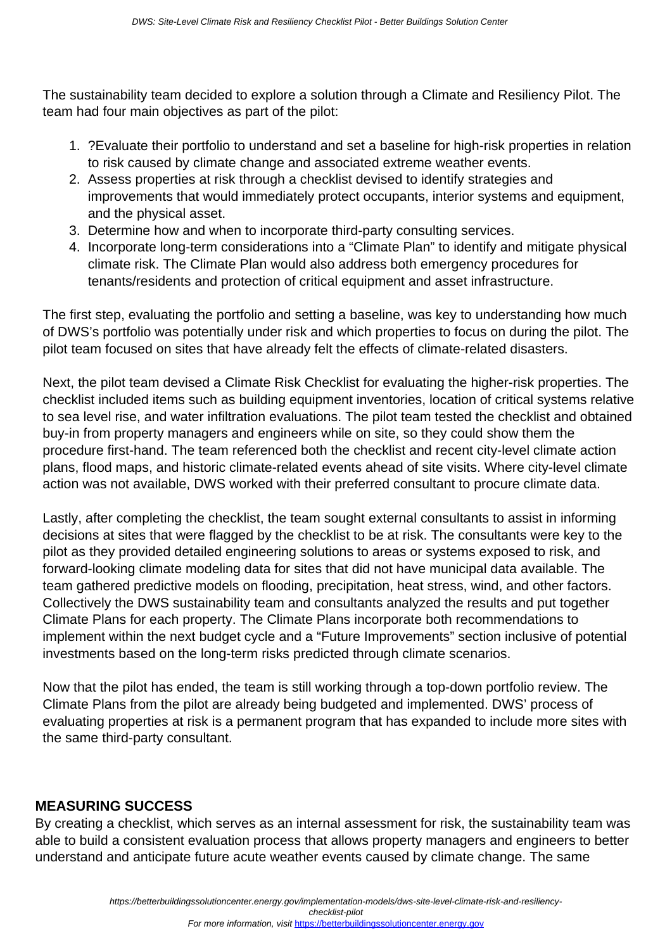The sustainability team decided to explore a solution through a Climate and Resiliency Pilot. The team had four main objectives as part of the pilot:

- 1. ?Evaluate their portfolio to understand and set a baseline for high-risk properties in relation to risk caused by climate change and associated extreme weather events.
- 2. Assess properties at risk through a checklist devised to identify strategies and improvements that would immediately protect occupants, interior systems and equipment, and the physical asset.
- 3. Determine how and when to incorporate third-party consulting services.
- 4. Incorporate long-term considerations into a "Climate Plan" to identify and mitigate physical climate risk. The Climate Plan would also address both emergency procedures for tenants/residents and protection of critical equipment and asset infrastructure.

The first step, evaluating the portfolio and setting a baseline, was key to understanding how much of DWS's portfolio was potentially under risk and which properties to focus on during the pilot. The pilot team focused on sites that have already felt the effects of climate-related disasters.

Next, the pilot team devised a Climate Risk Checklist for evaluating the higher-risk properties. The checklist included items such as building equipment inventories, location of critical systems relative to sea level rise, and water infiltration evaluations. The pilot team tested the checklist and obtained buy-in from property managers and engineers while on site, so they could show them the procedure first-hand. The team referenced both the checklist and recent city-level climate action plans, flood maps, and historic climate-related events ahead of site visits. Where city-level climate action was not available, DWS worked with their preferred consultant to procure climate data.

Lastly, after completing the checklist, the team sought external consultants to assist in informing decisions at sites that were flagged by the checklist to be at risk. The consultants were key to the pilot as they provided detailed engineering solutions to areas or systems exposed to risk, and forward-looking climate modeling data for sites that did not have municipal data available. The team gathered predictive models on flooding, precipitation, heat stress, wind, and other factors. Collectively the DWS sustainability team and consultants analyzed the results and put together Climate Plans for each property. The Climate Plans incorporate both recommendations to implement within the next budget cycle and a "Future Improvements" section inclusive of potential investments based on the long-term risks predicted through climate scenarios.

Now that the pilot has ended, the team is still working through a top-down portfolio review. The Climate Plans from the pilot are already being budgeted and implemented. DWS' process of evaluating properties at risk is a permanent program that has expanded to include more sites with the same third-party consultant.

# **MEASURING SUCCESS**

By creating a checklist, which serves as an internal assessment for risk, the sustainability team was able to build a consistent evaluation process that allows property managers and engineers to better understand and anticipate future acute weather events caused by climate change. The same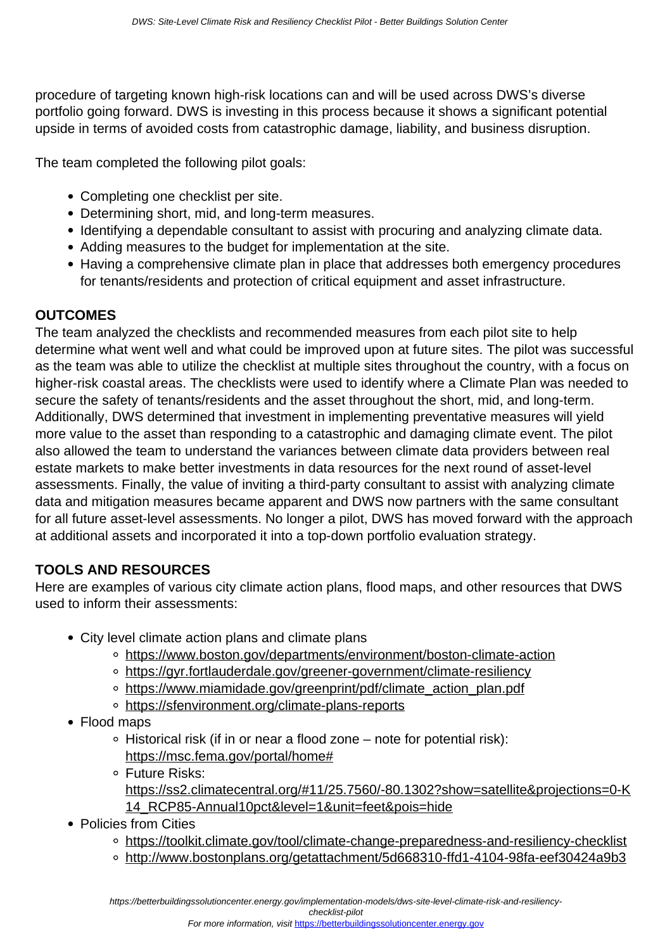procedure of targeting known high-risk locations can and will be used across DWS's diverse portfolio going forward. DWS is investing in this process because it shows a significant potential upside in terms of avoided costs from catastrophic damage, liability, and business disruption.

The team completed the following pilot goals:

- Completing one checklist per site.
- Determining short, mid, and long-term measures.
- Identifying a dependable consultant to assist with procuring and analyzing climate data.
- Adding measures to the budget for implementation at the site.
- Having a comprehensive climate plan in place that addresses both emergency procedures for tenants/residents and protection of critical equipment and asset infrastructure.

## **OUTCOMES**

The team analyzed the checklists and recommended measures from each pilot site to help determine what went well and what could be improved upon at future sites. The pilot was successful as the team was able to utilize the checklist at multiple sites throughout the country, with a focus on higher-risk coastal areas. The checklists were used to identify where a Climate Plan was needed to secure the safety of tenants/residents and the asset throughout the short, mid, and long-term. Additionally, DWS determined that investment in implementing preventative measures will yield more value to the asset than responding to a catastrophic and damaging climate event. The pilot also allowed the team to understand the variances between climate data providers between real estate markets to make better investments in data resources for the next round of asset-level assessments. Finally, the value of inviting a third-party consultant to assist with analyzing climate data and mitigation measures became apparent and DWS now partners with the same consultant for all future asset-level assessments. No longer a pilot, DWS has moved forward with the approach at additional assets and incorporated it into a top-down portfolio evaluation strategy.

# **TOOLS AND RESOURCES**

Here are examples of various city climate action plans, flood maps, and other resources that DWS used to inform their assessments:

- City level climate action plans and climate plans
	- [https://www.boston.gov/departments/environment/boston-climate-action](https://nam12.safelinks.protection.outlook.com/?url=https%3A%2F%2Fwww.boston.gov%2Fdepartments%2Fenvironment%2Fboston-climate-action&data=02%7C01%7Cadoukakis%40retechadvisors.com%7C3e7b7e0e099645b8fb9a08d81a251b35%7Cb576e9d4622645ea8ac8e02c319fb461%7C0%7C0%7C637288093988062310&sdata=KbUZqcyKVPp5lxeitfWjARg0VeQfHiqJpUKvaBhDS%2F0%3D&reserved=0)
	- [https://gyr.fortlauderdale.gov/greener-government/climate-resiliency](https://nam12.safelinks.protection.outlook.com/?url=https%3A%2F%2Fgyr.fortlauderdale.gov%2Fgreener-government%2Fclimate-resiliency&data=02%7C01%7Cadoukakis%40retechadvisors.com%7C3e7b7e0e099645b8fb9a08d81a251b35%7Cb576e9d4622645ea8ac8e02c319fb461%7C0%7C0%7C637288093988072259&sdata=lsni2St3frtvsD3ZSJJayAPzgISCtqH7p531BY006S8%3D&reserved=0)
	- [https://www.miamidade.gov/greenprint/pdf/climate\\_action\\_plan.pdf](https://nam12.safelinks.protection.outlook.com/?url=https%3A%2F%2Fwww.miamidade.gov%2Fgreenprint%2Fpdf%2Fclimate_action_plan.pdf&data=02%7C01%7Cadoukakis%40retechadvisors.com%7C3e7b7e0e099645b8fb9a08d81a251b35%7Cb576e9d4622645ea8ac8e02c319fb461%7C0%7C1%7C637288093988072259&sdata=03b8VQaom9FVAztb1eIQFUQz0e3PP1Mg6AYK2XJe4mk%3D&reserved=0)
	- [https://sfenvironment.org/climate-plans-reports](https://nam12.safelinks.protection.outlook.com/?url=https%3A%2F%2Fsfenvironment.org%2Fclimate-plans-reports&data=02%7C01%7Cadoukakis%40retechadvisors.com%7C3e7b7e0e099645b8fb9a08d81a251b35%7Cb576e9d4622645ea8ac8e02c319fb461%7C0%7C1%7C637288093988072259&sdata=WJVag9ytTP11r%2FwPguk%2FxHijF9pMike4o31xW5Q%2BOSY%3D&reserved=0)
- Flood maps
	- Historical risk (if in or near a flood zone note for potential risk): [https://msc.fema.gov/portal/home#](https://nam12.safelinks.protection.outlook.com/?url=https%3A%2F%2Fmsc.fema.gov%2Fportal%2Fhome&data=02%7C01%7Cadoukakis%40retechadvisors.com%7C3e7b7e0e099645b8fb9a08d81a251b35%7Cb576e9d4622645ea8ac8e02c319fb461%7C0%7C0%7C637288093988082217&sdata=JlSuB1jLdT32zzClqjfo%2BthybfesOR2zgM%2F7u3dvYD4%3D&reserved=0)
	- Future Risks:
		- [https://ss2.climatecentral.org/#11/25.7560/-80.1302?show=satellite&projections=0-K](https://nam12.safelinks.protection.outlook.com/?url=https%3A%2F%2Fss2.climatecentral.org%2F%2311%2F25.7560%2F-80.1302%3Fshow%3Dsatellite%26projections%3D0-K14_RCP85-Annual10pct%26level%3D1%26unit%3Dfeet%26pois%3Dhide&data=02%7C01%7Cadoukakis%40retechadvisors.com%7C3e7b7e0e099645b8fb9a08d81a251b35%7Cb576e9d4622645ea8ac8e02c319fb461%7C0%7C0%7C637288093988082217&sdata=BjXJCZQxf2DNyjVXzmmOnwSnxzT%2BZSqW6eu7eyoymt8%3D&reserved=0) [14\\_RCP85-Annual10pct&level=1&unit=feet&pois=hide](https://nam12.safelinks.protection.outlook.com/?url=https%3A%2F%2Fss2.climatecentral.org%2F%2311%2F25.7560%2F-80.1302%3Fshow%3Dsatellite%26projections%3D0-K14_RCP85-Annual10pct%26level%3D1%26unit%3Dfeet%26pois%3Dhide&data=02%7C01%7Cadoukakis%40retechadvisors.com%7C3e7b7e0e099645b8fb9a08d81a251b35%7Cb576e9d4622645ea8ac8e02c319fb461%7C0%7C0%7C637288093988082217&sdata=BjXJCZQxf2DNyjVXzmmOnwSnxzT%2BZSqW6eu7eyoymt8%3D&reserved=0)
- Policies from Cities
	- o [https://toolkit.climate.gov/tool/climate-change-preparedness-and-resiliency-checklist](https://nam12.safelinks.protection.outlook.com/?url=https%3A%2F%2Ftoolkit.climate.gov%2Ftool%2Fclimate-change-preparedness-and-resiliency-checklist&data=02%7C01%7Cadoukakis%40retechadvisors.com%7C3e7b7e0e099645b8fb9a08d81a251b35%7Cb576e9d4622645ea8ac8e02c319fb461%7C0%7C0%7C637288093988092171&sdata=egu1b5bDlCcKxCvbu3E%2FY0cXCD0%2F6q6ExY%2BavtAy%2BpQ%3D&reserved=0)
	- o [http://www.bostonplans.org/getattachment/5d668310-ffd1-4104-98fa-eef30424a9b3](https://nam12.safelinks.protection.outlook.com/?url=http%3A%2F%2Fwww.bostonplans.org%2Fgetattachment%2F5d668310-ffd1-4104-98fa-eef30424a9b3&data=02%7C01%7Cadoukakis%40retechadvisors.com%7C3e7b7e0e099645b8fb9a08d81a251b35%7Cb576e9d4622645ea8ac8e02c319fb461%7C0%7C0%7C637288093988092171&sdata=L8Rg%2BtraAaj5Qsk0n7Iynj8qM4sPlNyAeED8d0oZLXE%3D&reserved=0)